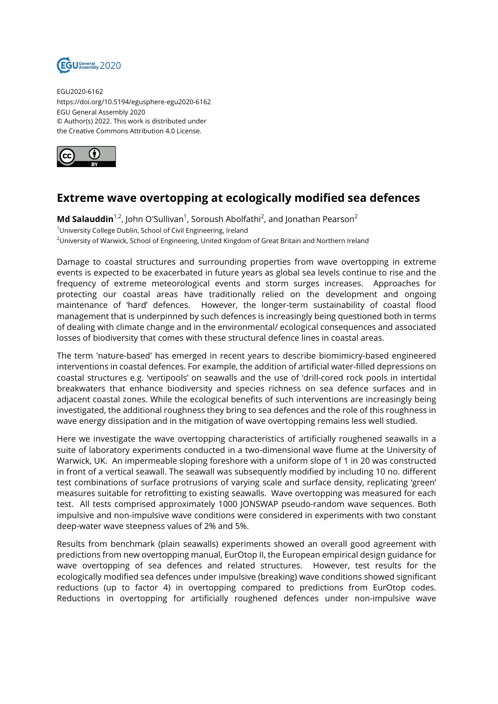

EGU2020-6162 https://doi.org/10.5194/egusphere-egu2020-6162 EGU General Assembly 2020 © Author(s) 2022. This work is distributed under the Creative Commons Attribution 4.0 License.



## **Extreme wave overtopping at ecologically modified sea defences**

**Md Salauddin**<sup>1,2</sup>, John O'Sullivan<sup>1</sup>, Soroush Abolfathi<sup>2</sup>, and Jonathan Pearson<sup>2</sup> <sup>1</sup>University College Dublin, School of Civil Engineering, Ireland <sup>2</sup>University of Warwick, School of Engineering, United Kingdom of Great Britain and Northern Ireland

Damage to coastal structures and surrounding properties from wave overtopping in extreme events is expected to be exacerbated in future years as global sea levels continue to rise and the frequency of extreme meteorological events and storm surges increases. Approaches for protecting our coastal areas have traditionally relied on the development and ongoing maintenance of 'hard' defences. However, the longer-term sustainability of coastal flood management that is underpinned by such defences is increasingly being questioned both in terms of dealing with climate change and in the environmental/ ecological consequences and associated losses of biodiversity that comes with these structural defence lines in coastal areas.

The term 'nature-based' has emerged in recent years to describe biomimicry-based engineered interventions in coastal defences. For example, the addition of artificial water-filled depressions on coastal structures e.g. 'vertipools' on seawalls and the use of 'drill-cored rock pools in intertidal breakwaters that enhance biodiversity and species richness on sea defence surfaces and in adjacent coastal zones. While the ecological benefits of such interventions are increasingly being investigated, the additional roughness they bring to sea defences and the role of this roughness in wave energy dissipation and in the mitigation of wave overtopping remains less well studied.

Here we investigate the wave overtopping characteristics of artificially roughened seawalls in a suite of laboratory experiments conducted in a two-dimensional wave flume at the University of Warwick, UK. An impermeable sloping foreshore with a uniform slope of 1 in 20 was constructed in front of a vertical seawall. The seawall was subsequently modified by including 10 no. different test combinations of surface protrusions of varying scale and surface density, replicating 'green' measures suitable for retrofitting to existing seawalls. Wave overtopping was measured for each test. All tests comprised approximately 1000 JONSWAP pseudo-random wave sequences. Both impulsive and non-impulsive wave conditions were considered in experiments with two constant deep-water wave steepness values of 2% and 5%.

Results from benchmark (plain seawalls) experiments showed an overall good agreement with predictions from new overtopping manual, EurOtop II, the European empirical design guidance for wave overtopping of sea defences and related structures. However, test results for the ecologically modified sea defences under impulsive (breaking) wave conditions showed significant reductions (up to factor 4) in overtopping compared to predictions from EurOtop codes. Reductions in overtopping for artificially roughened defences under non-impulsive wave